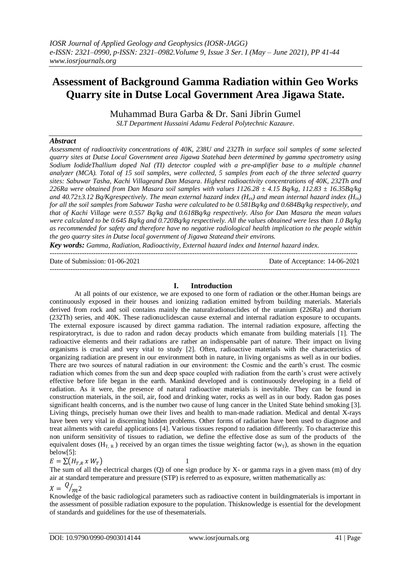# **Assessment of Background Gamma Radiation within Geo Works Quarry site in Dutse Local Government Area Jigawa State.**

Muhammad Bura Garba & Dr. Sani Jibrin Gumel *SLT Department Hussaini Adamu Federal Polytechnic Kazaure.*

### *Abstract*

*Assessment of radioactivity concentrations of 40K, 238U and 232Th in surface soil samples of some selected quarry sites at Dutse Local Government area Jigawa Statehad been determined by gamma spectrometry using Sodium IodideThallium doped NaI (TI) detector coupled with a pre-amplifier base to a multiple channel analyzer (MCA). Total of 15 soil samples, were collected, 5 samples from each of the three selected quarry sites: Sabuwar Tasha, Kachi Villageand Dan Masara. Highest radioactivity concentrations of 40K, 232Th and 226Ra were obtained from Dan Masara soil samples with values 1126.28 ± 4.15 Bq/kg, 112.83 ± 16.35Bq/kg* and 40.72 $\pm$ 3.12 Bq/Kgrespectively. The mean external hazard index (H<sub>ex</sub>) and mean internal hazard index (H<sub>in</sub>) *for all the soil samples from Sabuwar Tasha were calculated to be 0.581Bq/kg and 0.684Bq/kg respectively, and that of Kachi Village were 0.557 Bq/kg and 0.618Bq/kg respectively. Also for Dan Masara the mean values were calculated to be 0.645 Bq/kg and 0.720Bq/kg respectively. All the values obtained were less than 1.0 Bq/kg as recommended for safety and therefore have no negative radiological health implication to the people within the geo quarry sites in Dutse local government of Jigawa Stateand their environs.*

*Key words: Gamma, Radiation, Radioactivity, External hazard index and Internal hazard index.* --------------------------------------------------------------------------------------------------------------------------------------

Date of Submission: 01-06-2021 Date of Acceptance: 14-06-2021 ---------------------------------------------------------------------------------------------------------------------------------------

### **I. Introduction**

At all points of our existence, we are exposed to one form of radiation or the other.Human beings are continuously exposed in their houses and ionizing radiation emitted byfrom building materials. Materials derived from rock and soil contains mainly the naturalradionuclides of the uranium (226Ra) and thorium (232Th) series, and 40K. These radionuclidescan cause external and internal radiation exposure to occupants. The external exposure iscaused by direct gamma radiation. The internal radiation exposure, affecting the respiratorytract, is due to radon and radon decay products which emanate from building materials [1]. The radioactive elements and their radiations are rather an indispensable part of nature. Their impact on living organisms is crucial and very vital to study [2]. Often, radioactive materials with the characteristics of organizing radiation are present in our environment both in nature, in living organisms as well as in our bodies. There are two sources of natural radiation in our environment: the Cosmic and the earth's crust. The cosmic radiation which comes from the sun and deep space coupled with radiation from the earth's crust were actively effective before life began in the earth. Mankind developed and is continuously developing in a field of radiation. As it were, the presence of natural radioactive materials is inevitable. They can be found in construction materials, in the soil, air, food and drinking water, rocks as well as in our body. Radon gas poses significant health concerns, and is the number two cause of lung cancer in the United State behind smoking [3]. Living things, precisely human owe their lives and health to man-made radiation. Medical and dental X-rays have been very vital in discerning hidden problems. Other forms of radiation have been used to diagnose and treat ailments with careful applications [4]. Various tissues respond to radiation differently. To characterize this non uniform sensitivity of tissues to radiation, we define the effective dose as sum of the products of the equivalent doses (H<sub>T, R</sub>) received by an organ times the tissue weighting factor ( $w_T$ ), as shown in the equation below[5]:

$$
E = \sum (H_{T,R} \times W_T) \tag{1}
$$

The sum of all the electrical charges (Q) of one sign produce by X- or gamma rays in a given mass (m) of dry air at standard temperature and pressure (STP) is referred to as exposure, written mathematically as:

# $X = \frac{Q}{m^2}$

Knowledge of the basic radiological parameters such as radioactive content in buildingmaterials is important in the assessment of possible radiation exposure to the population. Thisknowledge is essential for the development of standards and guidelines for the use of thesematerials.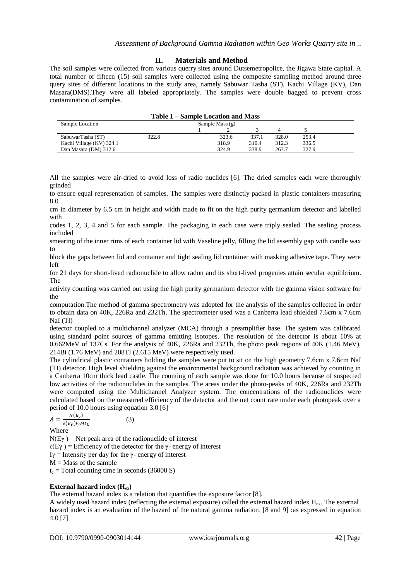# **II. Materials and Method**

The soil samples were collected from various querry sites around Dutsemetropolice, the Jigawa State capital. A total number of fifteen (15) soil samples were collected using the composite sampling method around three query sites of different locations in the study area, namely Sabuwar Tasha (ST), Kachi Village (KV), Dan Masara(DMS).They were all labeled appropriately. The samples were double bagged to prevent cross contamination of samples.

| Table 1 – Sample Location and Mass |                   |  |       |       |       |       |  |
|------------------------------------|-------------------|--|-------|-------|-------|-------|--|
| Sample Location                    | Sample Mass $(g)$ |  |       |       |       |       |  |
|                                    |                   |  |       |       |       |       |  |
| SabuwarTasha (ST)                  | 322.8             |  | 323.6 | 337.1 | 328.0 | 253.4 |  |
| Kachi Village (KV) 324.1           |                   |  | 318.9 | 310.4 | 312.3 | 336.5 |  |
| Dan Masara (DM) 312.6              |                   |  | 324.9 | 338.9 | 263.7 | 327.9 |  |

All the samples were air-dried to avoid loss of radio nuclides [6]. The dried samples each were thoroughly grinded

to ensure equal representation of samples. The samples were distinctly packed in plastic containers measuring 8.0

cm in diameter by 6.5 cm in height and width made to fit on the high purity germanium detector and labelled with

codes 1, 2, 3, 4 and 5 for each sample. The packaging in each case were triply sealed. The sealing process included

smearing of the inner rims of each container lid with Vaseline jelly, filling the lid assembly gap with candle wax to

block the gaps between lid and container and tight sealing lid container with masking adhesive tape. They were left

for 21 days for short-lived radionuclide to allow radon and its short-lived progenies attain secular equilibrium. The

activity counting was carried out using the high purity germanium detector with the gamma vision software for the

computation.The method of gamma spectrometry was adopted for the analysis of the samples collected in order to obtain data on 40K, 226Ra and 232Th. The spectrometer used was a Canberra lead shielded 7.6cm x 7.6cm NaI (Tl)

detector coupled to a multichannel analyzer (MCA) through a preamplifier base. The system was calibrated using standard point sources of gamma emitting isotopes. The resolution of the detector is about 10% at 0.662MeV of 137Cs. For the analysis of 40K, 226Ra and 232Th, the photo peak regions of 40K (1.46 MeV), 214Bi (1.76 MeV) and 208TI (2.615 MeV) were respectively used.

The cylindrical plastic containers holding the samples were put to sit on the high geometry 7.6cm x 7.6cm NaI (TI) detector. High level shielding against the environmental background radiation was achieved by counting in a Canberra 10cm thick lead castle. The counting of each sample was done for 10.0 hours because of suspected low activities of the radionuclides in the samples. The areas under the photo-peaks of 40K, 226Ra and 232Th were computed using the Multichannel Analyzer system. The concentrations of the radionuclides were calculated based on the measured efficiency of the detector and the net count rate under each photopeak over a period of 10.0 hours using equation 3.0 [6]

$$
A = \frac{N(E_Y)}{\epsilon(E_Y)I_Y M t_C} \tag{3}
$$

Where

 $N(E\gamma)$  = Net peak area of the radionuclide of interest  $\epsilon$ (Eγ) = Efficiency of the detector for the γ- energy of interest Iγ = Intensity per day for the γ- energy of interest  $M =$ Mass of the sample  $t_c$  = Total counting time in seconds (36000 S)

# **External hazard index (Hex)**

The external hazard index is a relation that quantifies the exposure factor [8].

A widely used hazard index (reflecting the external exposure) called the external hazard index  $H_{ex}$ . The external hazard index is an evaluation of the hazard of the natural gamma radiation. [8 and 9] :as expressed in equation 4.0 [7]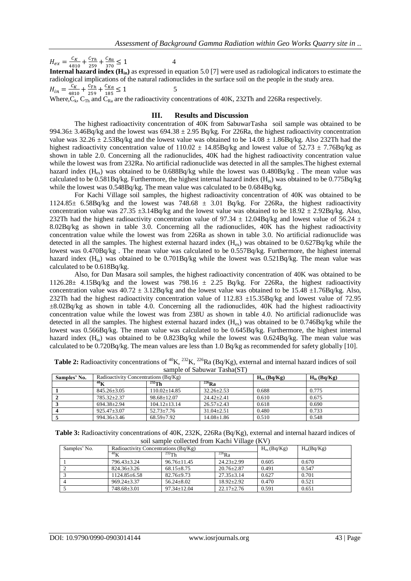$H_{ex} = \frac{c}{4\pi}$  $\frac{c_K}{4810} + \frac{c}{2}$  $\frac{c_{Th}}{259} + \frac{c}{3}$  $\frac{c_{Ra}}{370} \le 1$  4 **Internal hazard index (Hin)** as expressed in equation 5.0 [7] were used as radiological indicators to estimate the radiological implications of the natural radionuclides in the surface soil on the people in the study area.  $H_{in} = \frac{c}{48}$  $\frac{c_K}{4810} + \frac{c}{2}$  $\frac{c_{Th}}{259} + \frac{c}{1}$  $\frac{c_{Ka}}{185} \le 1$  5 Where,  $C_k$ ,  $C_{Th}$  and  $C_{Ra}$  are the radioactivity concentrations of 40K, 232Th and 226Ra respectively.

#### **III. Results and Discussion**

The highest radioactivity concentration of 40K from SabuwarTasha soil sample was obtained to be 994.36 $\pm$  3.46Bq/kg and the lowest was 694.38  $\pm$  2.95 Bq/kg. For 226Ra, the highest radioactivity concentration value was  $32.26 \pm 2.53$ Bq/kg and the lowest value was obtained to be  $14.08 \pm 1.86$ Bq/kg. Also 232Th had the highest radioactivity concentration value of  $110.02 \pm 14.85$ Bq/kg and lowest value of  $52.73 \pm 7.76$ Bq/kg as shown in table 2.0. Concerning all the radionuclides, 40K had the highest radioactivity concentration value while the lowest was from 232Ra. No artificial radionuclide was detected in all the samples. The highest external hazard index  $(H_{ex})$  was obtained to be 0.688Bq/kg while the lowest was 0.480Bq/kg. The mean value was calculated to be  $0.581Bq/kg$ . Furthermore, the highest internal hazard index (H<sub>in</sub>) was obtained to be  $0.775Bq/kg$ while the lowest was 0.548Bq/kg. The mean value was calculated to be 0.684Bq/kg.

For Kachi Village soil samples, the highest radioactivity concentration of 40K was obtained to be  $1124.85\pm 6.58Bq/kg$  and the lowest was 748.68  $\pm$  3.01 Bq/kg. For 226Ra, the highest radioactivity concentration value was  $27.35 \pm 3.14$ Bq/kg and the lowest value was obtained to be  $18.92 \pm 2.92$ Bq/kg. Also, 232Th had the highest radioactivity concentration value of 97.34  $\pm$  12.04Bq/kg and lowest value of 56.24  $\pm$ 8.02Bq/kg as shown in table 3.0. Concerning all the radionuclides, 40K has the highest radioactivity concentration value while the lowest was from 226Ra as shown in table 3.0. No artificial radionuclide was detected in all the samples. The highest external hazard index  $(H_{ex})$  was obtained to be 0.627Bq/kg while the lowest was 0.470Bq/kg . The mean value was calculated to be 0.557Bq/kg. Furthermore, the highest internal hazard index  $(H_{in})$  was obtained to be 0.701Bq/kg while the lowest was 0.521Bq/kg. The mean value was calculated to be 0.618Bq/kg.

Also, for Dan Masara soil samples, the highest radioactivity concentration of 40K was obtained to be 1126.28 $\pm$  4.15Bq/kg and the lowest was 798.16  $\pm$  2.25 Bq/kg. For 226Ra, the highest radioactivity concentration value was  $40.72 \pm 3.12$ Bq/kg and the lowest value was obtained to be  $15.48 \pm 1.76$ Bq/kg. Also, 232Th had the highest radioactivity concentration value of 112.83 ±15.35Bq/kg and lowest value of 72.95  $\pm 8.02$ Bq/kg as shown in table 4.0. Concerning all the radionuclides, 40K had the highest radioactivity concentration value while the lowest was from 238U as shown in table 4.0. No artificial radionuclide was detected in all the samples. The highest external hazard index  $(H_{ex})$  was obtained to be 0.746Bq/kg while the lowest was 0.566Bq/kg. The mean value was calculated to be 0.645Bq/kg. Furthermore, the highest internal hazard index  $(H_{in})$  was obtained to be 0.823Bq/kg while the lowest was 0.624Bq/kg. The mean value was calculated to be 0.720Bq/kg. The mean values are less than 1.0 Bq/kg as recommended for safety globally [10].

| Samples' No. | Radioactivity Concentrations (Bq/Kg) |                  |                       | $H_{ex}$ (Bq/Kg) | $H_{in}$ (Bq/Kg) |
|--------------|--------------------------------------|------------------|-----------------------|------------------|------------------|
|              | $^{40}$ K                            | $^{232}$ Th      | $\overline{^{226}$ Ra |                  |                  |
|              | $845.26 + 3.05$                      | $110.02 + 14.85$ | $32.26 + 2.53$        | 0.688            | 0.775            |
|              | 785.32+2.37                          | 98.68+12.07      | $24.42 + 2.41$        | 0.610            | 0.675            |
|              | $694.38 \pm 2.94$                    | $104.12 + 13.14$ | $26.57 + 2.43$        | 0.618            | 0.690            |
|              | $925.47 + 3.07$                      | $52.73 + 7.76$   | $31.04 + 2.51$        | 0.480            | 0.733            |
|              | 994.36±3.46                          | $68.59 + 7.92$   | $14.08 \pm 1.86$      | 0.510            | 0.548            |

**Table 2:** Radioactivity concentrations of <sup>40</sup>K, <sup>232</sup>K, <sup>226</sup>Ra (Bq/Kg), external and internal hazard indices of soil sample of Sabuwar Tasha(ST)

**Table 3:** Radioactivity concentrations of 40K, 232K, 226Ra (Bq/Kg), external and internal hazard indices of soil sample collected from Kachi Village (KV)

| Samples' No. | Radioactivity Concentrations (Bq/Kg) |                   |                  | $H_{ex}$ (Bq/Kg) | $H_{in}(Bq/Kg)$ |
|--------------|--------------------------------------|-------------------|------------------|------------------|-----------------|
|              | $^{40}$ K                            | $^{232}$ Th       | $^{226}$ Ra      |                  |                 |
|              | 796.43±3.24                          | $96.76 \pm 11.45$ | $24.23 \pm 2.99$ | 0.605            | 0.670           |
|              | $824.36 \pm 3.26$                    | $68.15 \pm 8.75$  | $20.76 \pm 2.87$ | 0.491            | 0.547           |
|              | 1124.85±6.58                         | $82.76 + 9.73$    | $27.35 \pm 3.14$ | 0.627            | 0.701           |
|              | $969.24 + 3.37$                      | $56.24 \pm 8.02$  | $18.92 \pm 2.92$ | 0.470            | 0.521           |
|              | 748.68±3.01                          | $97.34 + 12.04$   | $22.17 \pm 2.76$ | 0.591            | 0.651           |